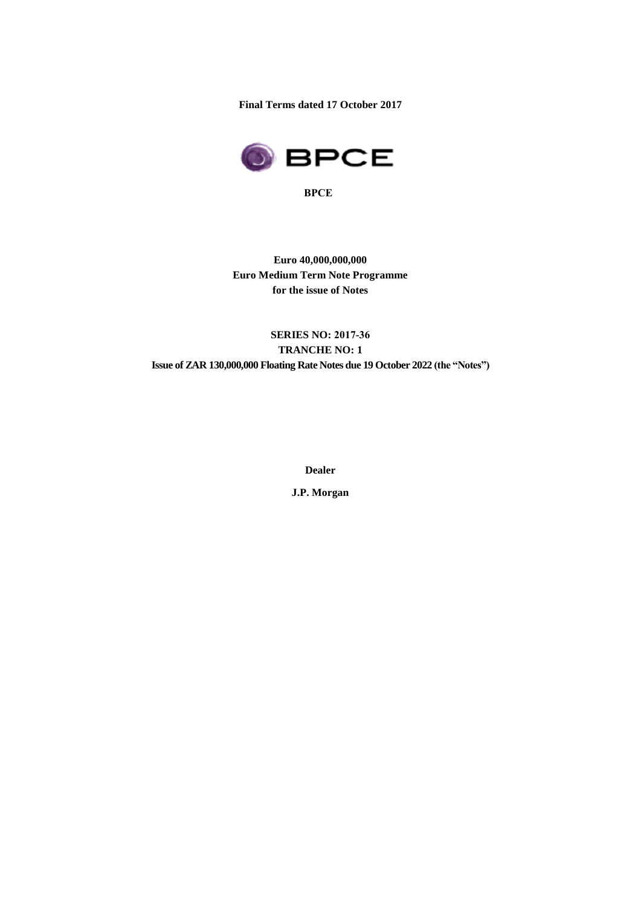**Final Terms dated 17 October 2017**



**BPCE**

**Euro 40,000,000,000 Euro Medium Term Note Programme for the issue of Notes**

# **SERIES NO: 2017-36 TRANCHE NO: 1 Issue of ZAR 130,000,000 Floating Rate Notes due 19 October 2022 (the "Notes")**

**Dealer**

**J.P. Morgan**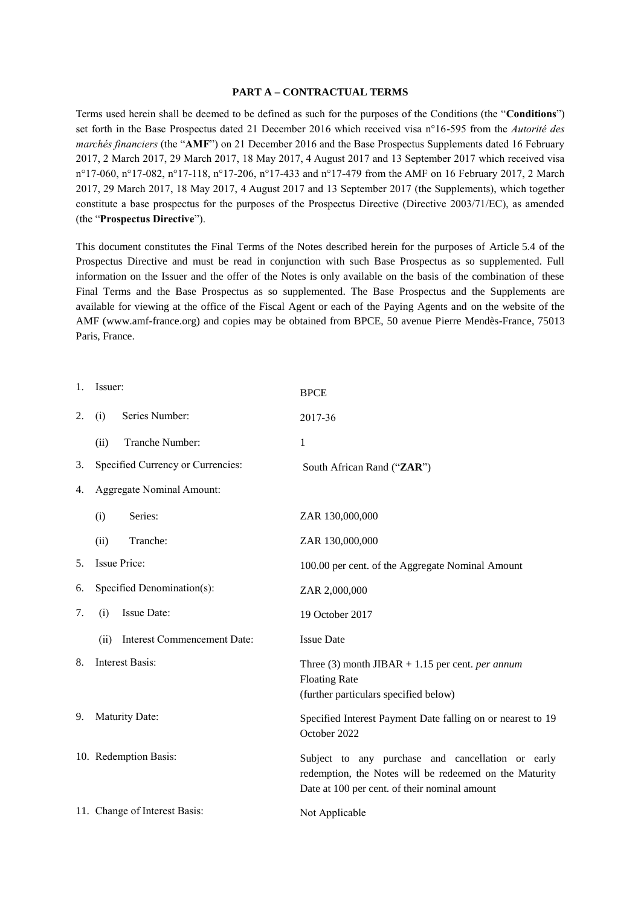#### **PART A – CONTRACTUAL TERMS**

Terms used herein shall be deemed to be defined as such for the purposes of the Conditions (the "**Conditions**") set forth in the Base Prospectus dated 21 December 2016 which received visa n°16-595 from the *Autorité des marchés financiers* (the "**AMF**") on 21 December 2016 and the Base Prospectus Supplements dated 16 February 2017, 2 March 2017, 29 March 2017, 18 May 2017, 4 August 2017 and 13 September 2017 which received visa n°17-060, n°17-082, n°17-118, n°17-206, n°17-433 and n°17-479 from the AMF on 16 February 2017, 2 March 2017, 29 March 2017, 18 May 2017, 4 August 2017 and 13 September 2017 (the Supplements), which together constitute a base prospectus for the purposes of the Prospectus Directive (Directive 2003/71/EC), as amended (the "**Prospectus Directive**").

This document constitutes the Final Terms of the Notes described herein for the purposes of Article 5.4 of the Prospectus Directive and must be read in conjunction with such Base Prospectus as so supplemented. Full information on the Issuer and the offer of the Notes is only available on the basis of the combination of these Final Terms and the Base Prospectus as so supplemented. The Base Prospectus and the Supplements are available for viewing at the office of the Fiscal Agent or each of the Paying Agents and on the website of the AMF (www.amf-france.org) and copies may be obtained from BPCE, 50 avenue Pierre Mendès-France, 75013 Paris, France.

| $1_{\cdot}$ | Issuer:                                    | <b>BPCE</b>                                                                                                                                                  |  |
|-------------|--------------------------------------------|--------------------------------------------------------------------------------------------------------------------------------------------------------------|--|
| 2.          | Series Number:<br>(i)                      | 2017-36                                                                                                                                                      |  |
|             | Tranche Number:<br>(ii)                    | 1                                                                                                                                                            |  |
| 3.          | Specified Currency or Currencies:          | South African Rand ("ZAR")                                                                                                                                   |  |
| 4.          | Aggregate Nominal Amount:                  |                                                                                                                                                              |  |
|             | Series:<br>(i)                             | ZAR 130,000,000                                                                                                                                              |  |
|             | Tranche:<br>(ii)                           | ZAR 130,000,000                                                                                                                                              |  |
| 5.          | Issue Price:                               | 100.00 per cent. of the Aggregate Nominal Amount                                                                                                             |  |
| 6.          | Specified Denomination(s):                 | ZAR 2,000,000                                                                                                                                                |  |
| 7.          | Issue Date:<br>(i)                         | 19 October 2017                                                                                                                                              |  |
|             | <b>Interest Commencement Date:</b><br>(ii) | <b>Issue Date</b>                                                                                                                                            |  |
| 8.          | <b>Interest Basis:</b>                     | Three (3) month JIBAR + 1.15 per cent. <i>per annum</i><br><b>Floating Rate</b><br>(further particulars specified below)                                     |  |
| 9.          | <b>Maturity Date:</b>                      | Specified Interest Payment Date falling on or nearest to 19<br>October 2022                                                                                  |  |
|             | 10. Redemption Basis:                      | Subject to any purchase and cancellation or early<br>redemption, the Notes will be redeemed on the Maturity<br>Date at 100 per cent. of their nominal amount |  |
|             | 11. Change of Interest Basis:              | Not Applicable                                                                                                                                               |  |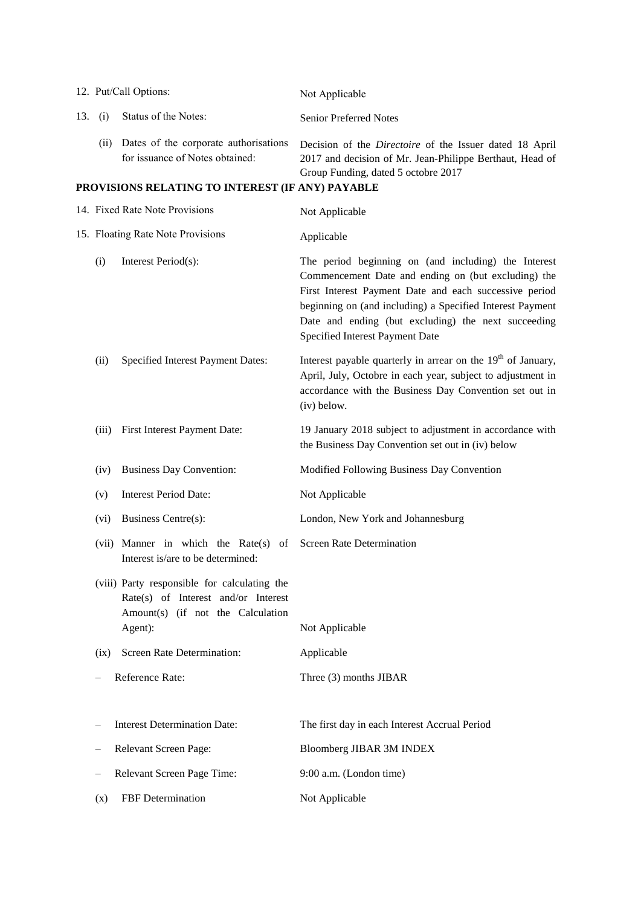|     |                                   | 12. Put/Call Options:                                                                                                               | Not Applicable                                                                                                                                                                                                                                                                                                               |
|-----|-----------------------------------|-------------------------------------------------------------------------------------------------------------------------------------|------------------------------------------------------------------------------------------------------------------------------------------------------------------------------------------------------------------------------------------------------------------------------------------------------------------------------|
| 13. | (i)                               | Status of the Notes:                                                                                                                | <b>Senior Preferred Notes</b>                                                                                                                                                                                                                                                                                                |
|     | (i)                               | Dates of the corporate authorisations<br>for issuance of Notes obtained:                                                            | Decision of the <i>Directoire</i> of the Issuer dated 18 April<br>2017 and decision of Mr. Jean-Philippe Berthaut, Head of<br>Group Funding, dated 5 octobre 2017                                                                                                                                                            |
|     |                                   | PROVISIONS RELATING TO INTEREST (IF ANY) PAYABLE                                                                                    |                                                                                                                                                                                                                                                                                                                              |
|     |                                   | 14. Fixed Rate Note Provisions                                                                                                      | Not Applicable                                                                                                                                                                                                                                                                                                               |
|     | 15. Floating Rate Note Provisions |                                                                                                                                     | Applicable                                                                                                                                                                                                                                                                                                                   |
|     | (i)                               | Interest Period(s):                                                                                                                 | The period beginning on (and including) the Interest<br>Commencement Date and ending on (but excluding) the<br>First Interest Payment Date and each successive period<br>beginning on (and including) a Specified Interest Payment<br>Date and ending (but excluding) the next succeeding<br>Specified Interest Payment Date |
|     | (ii)                              | Specified Interest Payment Dates:                                                                                                   | Interest payable quarterly in arrear on the $19th$ of January,<br>April, July, Octobre in each year, subject to adjustment in<br>accordance with the Business Day Convention set out in<br>(iv) below.                                                                                                                       |
|     | (iii)                             | First Interest Payment Date:                                                                                                        | 19 January 2018 subject to adjustment in accordance with<br>the Business Day Convention set out in (iv) below                                                                                                                                                                                                                |
|     | (iv)                              | <b>Business Day Convention:</b>                                                                                                     | Modified Following Business Day Convention                                                                                                                                                                                                                                                                                   |
|     | (v)                               | <b>Interest Period Date:</b>                                                                                                        | Not Applicable                                                                                                                                                                                                                                                                                                               |
|     | (vi)                              | Business Centre(s):                                                                                                                 | London, New York and Johannesburg                                                                                                                                                                                                                                                                                            |
|     |                                   | (vii) Manner in which the Rate(s)<br>of<br>Interest is/are to be determined:                                                        | Screen Rate Determination                                                                                                                                                                                                                                                                                                    |
|     |                                   | (viii) Party responsible for calculating the<br>Rate(s) of Interest and/or Interest<br>Amount(s) (if not the Calculation<br>Agent): | Not Applicable                                                                                                                                                                                                                                                                                                               |
|     | (ix)                              | Screen Rate Determination:                                                                                                          | Applicable                                                                                                                                                                                                                                                                                                                   |
|     |                                   | Reference Rate:                                                                                                                     | Three (3) months JIBAR                                                                                                                                                                                                                                                                                                       |
|     |                                   | <b>Interest Determination Date:</b>                                                                                                 | The first day in each Interest Accrual Period                                                                                                                                                                                                                                                                                |
|     |                                   | Relevant Screen Page:                                                                                                               | Bloomberg JIBAR 3M INDEX                                                                                                                                                                                                                                                                                                     |
|     |                                   | Relevant Screen Page Time:                                                                                                          | 9:00 a.m. (London time)                                                                                                                                                                                                                                                                                                      |
|     | (x)                               | FBF Determination                                                                                                                   | Not Applicable                                                                                                                                                                                                                                                                                                               |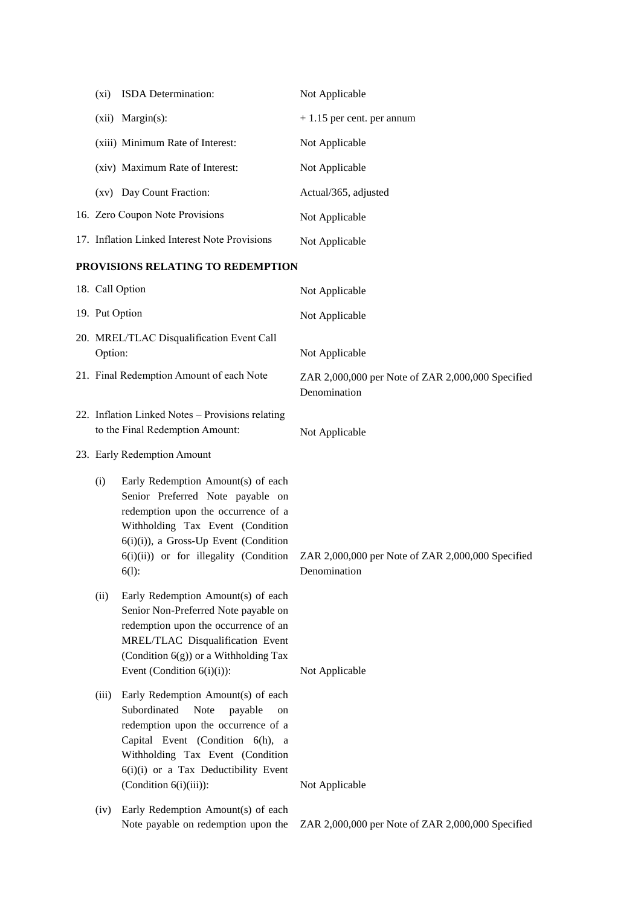|                                   | $(x_i)$                                              | ISDA Determination:                                                                                                                                                                                                                                                    | Not Applicable                                                    |
|-----------------------------------|------------------------------------------------------|------------------------------------------------------------------------------------------------------------------------------------------------------------------------------------------------------------------------------------------------------------------------|-------------------------------------------------------------------|
|                                   |                                                      | (xii) Margin(s):                                                                                                                                                                                                                                                       | + 1.15 per cent. per annum                                        |
|                                   |                                                      | (xiii) Minimum Rate of Interest:                                                                                                                                                                                                                                       | Not Applicable                                                    |
|                                   |                                                      | (xiv) Maximum Rate of Interest:                                                                                                                                                                                                                                        | Not Applicable                                                    |
|                                   |                                                      | (xv) Day Count Fraction:                                                                                                                                                                                                                                               | Actual/365, adjusted                                              |
|                                   |                                                      | 16. Zero Coupon Note Provisions                                                                                                                                                                                                                                        | Not Applicable                                                    |
|                                   |                                                      | 17. Inflation Linked Interest Note Provisions                                                                                                                                                                                                                          | Not Applicable                                                    |
| PROVISIONS RELATING TO REDEMPTION |                                                      |                                                                                                                                                                                                                                                                        |                                                                   |
|                                   | 18. Call Option                                      |                                                                                                                                                                                                                                                                        | Not Applicable                                                    |
|                                   | 19. Put Option                                       |                                                                                                                                                                                                                                                                        | Not Applicable                                                    |
|                                   | 20. MREL/TLAC Disqualification Event Call<br>Option: |                                                                                                                                                                                                                                                                        | Not Applicable                                                    |
|                                   |                                                      | 21. Final Redemption Amount of each Note                                                                                                                                                                                                                               | ZAR 2,000,000 per Note of ZAR 2,000,000 Specified<br>Denomination |
|                                   |                                                      | 22. Inflation Linked Notes - Provisions relating<br>to the Final Redemption Amount:                                                                                                                                                                                    | Not Applicable                                                    |
|                                   |                                                      | 23. Early Redemption Amount                                                                                                                                                                                                                                            |                                                                   |
|                                   | (i)                                                  | Early Redemption Amount(s) of each<br>Senior Preferred Note payable on<br>redemption upon the occurrence of a<br>Withholding Tax Event (Condition<br>$6(i)(i)$ , a Gross-Up Event (Condition<br>$6(i)(ii)$ or for illegality (Condition<br>$6(l)$ :                    | ZAR 2,000,000 per Note of ZAR 2,000,000 Specified<br>Denomination |
|                                   | (ii)                                                 | Early Redemption Amount(s) of each<br>Senior Non-Preferred Note payable on<br>redemption upon the occurrence of an<br>MREL/TLAC Disqualification Event<br>(Condition 6(g)) or a Withholding Tax<br>Event (Condition $6(i)(i)$ ):                                       | Not Applicable                                                    |
|                                   | (iii)                                                | Early Redemption Amount(s) of each<br>Subordinated<br><b>Note</b><br>payable<br>on<br>redemption upon the occurrence of a<br>Capital Event (Condition 6(h), a<br>Withholding Tax Event (Condition<br>6(i)(i) or a Tax Deductibility Event<br>$(Condition 6(i)(iii))$ : | Not Applicable                                                    |
|                                   | (iv)                                                 | Early Redemption Amount(s) of each<br>Note payable on redemption upon the                                                                                                                                                                                              | ZAR 2,000,000 per Note of ZAR 2,000,000 Specified                 |
|                                   |                                                      |                                                                                                                                                                                                                                                                        |                                                                   |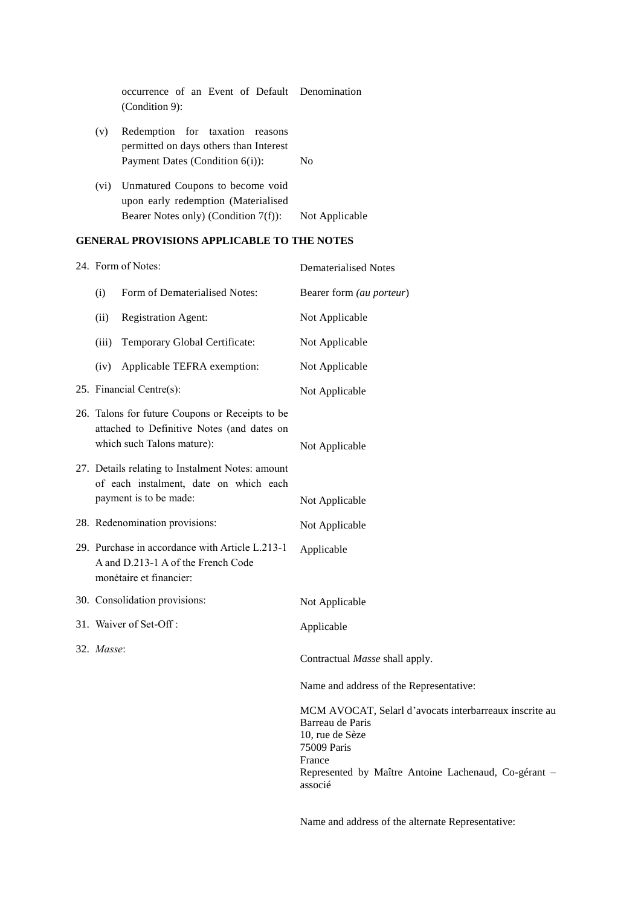| occurrence of an Event of Default Denomination<br>$(Condition 9)$ :                |                |
|------------------------------------------------------------------------------------|----------------|
| Redemption for taxation reasons<br>(v)<br>permitted on days others than Interest   |                |
| Payment Dates (Condition $6(i)$ ):                                                 | Nο             |
| Unmatured Coupons to become void<br>$(v_1)$<br>upon early redemption (Materialised |                |
| Bearer Notes only) (Condition $7(f)$ ):                                            | Not Applicable |

# **GENERAL PROVISIONS APPLICABLE TO THE NOTES**

| 24. Form of Notes:                                                                                                          |                               | <b>Dematerialised Notes</b>                                                                                                                                                               |  |
|-----------------------------------------------------------------------------------------------------------------------------|-------------------------------|-------------------------------------------------------------------------------------------------------------------------------------------------------------------------------------------|--|
| (i)                                                                                                                         | Form of Dematerialised Notes: | Bearer form (au porteur)                                                                                                                                                                  |  |
| (ii)                                                                                                                        | <b>Registration Agent:</b>    | Not Applicable                                                                                                                                                                            |  |
| (iii)                                                                                                                       | Temporary Global Certificate: | Not Applicable                                                                                                                                                                            |  |
| (iv)                                                                                                                        | Applicable TEFRA exemption:   | Not Applicable                                                                                                                                                                            |  |
| 25. Financial Centre(s):                                                                                                    |                               | Not Applicable                                                                                                                                                                            |  |
| 26. Talons for future Coupons or Receipts to be<br>attached to Definitive Notes (and dates on<br>which such Talons mature): |                               | Not Applicable                                                                                                                                                                            |  |
| 27. Details relating to Instalment Notes: amount<br>of each instalment, date on which each<br>payment is to be made:        |                               | Not Applicable                                                                                                                                                                            |  |
| 28. Redenomination provisions:                                                                                              |                               | Not Applicable                                                                                                                                                                            |  |
| 29. Purchase in accordance with Article L.213-1<br>A and D.213-1 A of the French Code<br>monétaire et financier:            |                               | Applicable                                                                                                                                                                                |  |
|                                                                                                                             | 30. Consolidation provisions: | Not Applicable                                                                                                                                                                            |  |
|                                                                                                                             | 31. Waiver of Set-Off:        | Applicable                                                                                                                                                                                |  |
| 32. Masse:                                                                                                                  |                               | Contractual Masse shall apply.                                                                                                                                                            |  |
|                                                                                                                             |                               | Name and address of the Representative:                                                                                                                                                   |  |
|                                                                                                                             |                               | MCM AVOCAT, Selarl d'avocats interbarreaux inscrite au<br>Barreau de Paris<br>10, rue de Sèze<br>75009 Paris<br>France<br>Represented by Maître Antoine Lachenaud, Co-gérant -<br>associé |  |
|                                                                                                                             |                               |                                                                                                                                                                                           |  |

Name and address of the alternate Representative: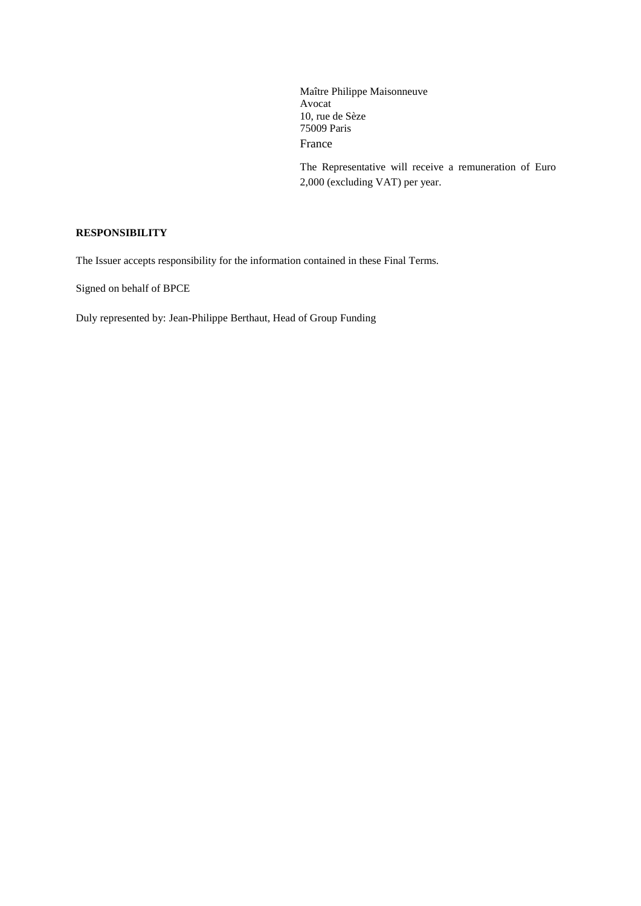Maître Philippe Maisonneuve Avocat 10, rue de Sèze 75009 Paris France

The Representative will receive a remuneration of Euro 2,000 (excluding VAT) per year.

#### **RESPONSIBILITY**

The Issuer accepts responsibility for the information contained in these Final Terms.

Signed on behalf of BPCE

Duly represented by: Jean-Philippe Berthaut, Head of Group Funding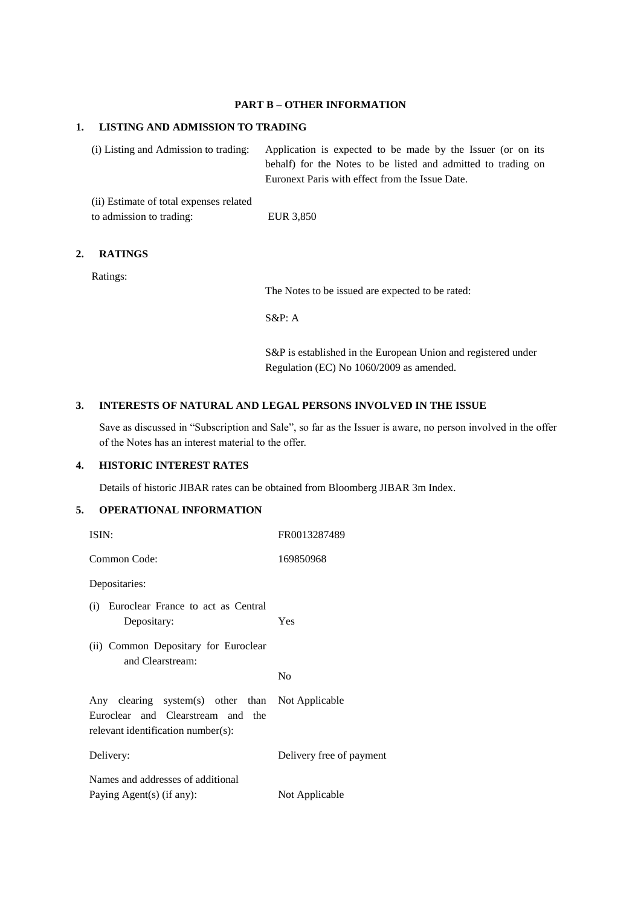# **PART B – OTHER INFORMATION**

#### **1. LISTING AND ADMISSION TO TRADING**

(i) Listing and Admission to trading: Application is expected to be made by the Issuer (or on its behalf) for the Notes to be listed and admitted to trading on Euronext Paris with effect from the Issue Date.

(ii) Estimate of total expenses related to admission to trading: EUR 3,850

## **2. RATINGS**

Ratings:

The Notes to be issued are expected to be rated:

S&P: A

S&P is established in the European Union and registered under Regulation (EC) No 1060/2009 as amended.

#### **3. INTERESTS OF NATURAL AND LEGAL PERSONS INVOLVED IN THE ISSUE**

Save as discussed in "Subscription and Sale", so far as the Issuer is aware, no person involved in the offer of the Notes has an interest material to the offer.

#### **4. HISTORIC INTEREST RATES**

Details of historic JIBAR rates can be obtained from Bloomberg JIBAR 3m Index.

# **5. OPERATIONAL INFORMATION**

| ISIN:                                                                                                                       | FR0013287489             |
|-----------------------------------------------------------------------------------------------------------------------------|--------------------------|
| Common Code:                                                                                                                | 169850968                |
| Depositaries:                                                                                                               |                          |
| (i) Euroclear France to act as Central<br>Depositary:                                                                       | Yes                      |
| (ii) Common Depositary for Euroclear<br>and Clearstream:                                                                    | N <sub>0</sub>           |
|                                                                                                                             |                          |
| Any clearing system(s) other than Not Applicable<br>Euroclear and Clearstream and the<br>relevant identification number(s): |                          |
| Delivery:                                                                                                                   | Delivery free of payment |
| Names and addresses of additional                                                                                           |                          |
| Paying Agent(s) (if any):                                                                                                   | Not Applicable           |